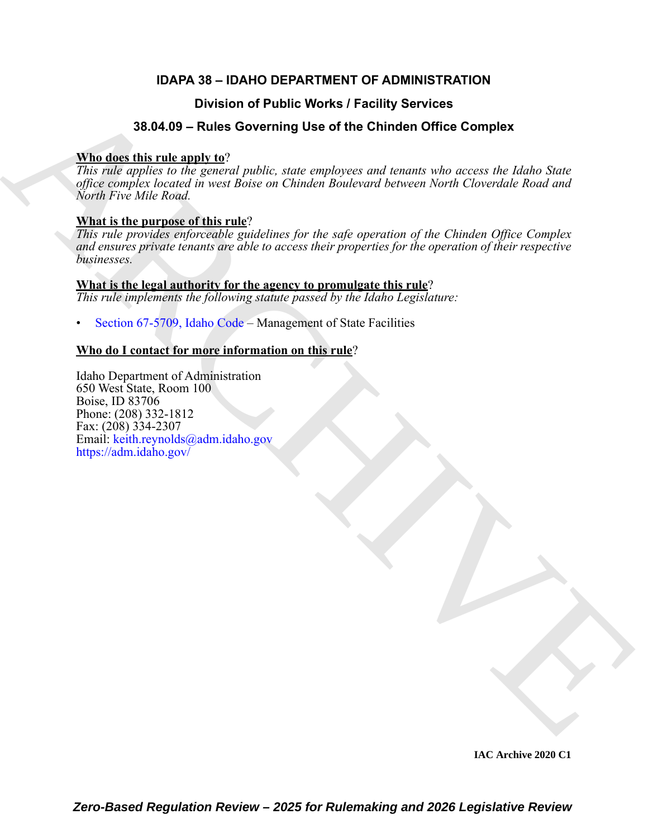# **IDAPA 38 – IDAHO DEPARTMENT OF ADMINISTRATION**

# **Division of Public Works / Facility Services**

# **38.04.09 – Rules Governing Use of the Chinden Office Complex**

# **Who does this rule apply to**?

*This rule applies to the general public, state employees and tenants who access the Idaho State office complex located in west Boise on Chinden Boulevard between North Cloverdale Road and North Five Mile Road.*

# **What is the purpose of this rule**?

Division of Public Works / Facility Services<br>
38.04.03 = NUIs Governing Use of the Chinden Office Gomplex<br>
This relation to the graduate matrix and the symbolic, since conducts and feature of the action of the symbolic mat *This rule provides enforceable guidelines for the safe operation of the Chinden Office Complex and ensures private tenants are able to access their properties for the operation of their respective businesses.*

# **What is the legal authority for the agency to promulgate this rule**?

*This rule implements the following statute passed by the Idaho Legislature:*

• Section 67-5709, Idaho Code – Management of State Facilities

# **Who do I contact for more information on this rule**?

Idaho Department of Administration 650 West State, Room 100 Boise, ID 83706 Phone: (208) 332-1812 Fax: (208) 334-2307 Email: keith.reynolds@adm.idaho.gov https://adm.idaho.gov/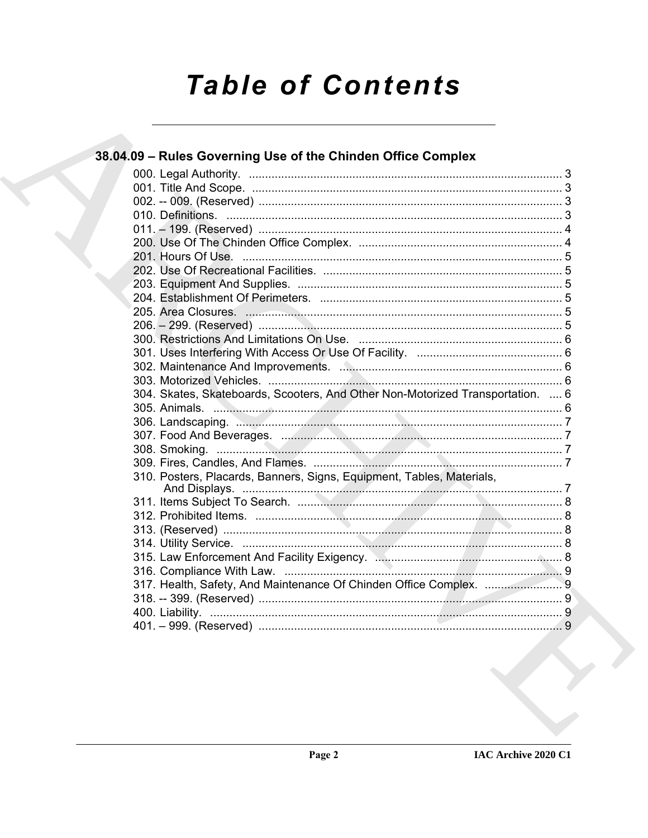# **Table of Contents**

| 38.04.09 - Rules Governing Use of the Chinden Office Complex                   |  |
|--------------------------------------------------------------------------------|--|
|                                                                                |  |
|                                                                                |  |
|                                                                                |  |
|                                                                                |  |
|                                                                                |  |
|                                                                                |  |
|                                                                                |  |
|                                                                                |  |
|                                                                                |  |
|                                                                                |  |
|                                                                                |  |
|                                                                                |  |
|                                                                                |  |
|                                                                                |  |
|                                                                                |  |
|                                                                                |  |
| 304. Skates, Skateboards, Scooters, And Other Non-Motorized Transportation.  6 |  |
|                                                                                |  |
|                                                                                |  |
|                                                                                |  |
|                                                                                |  |
|                                                                                |  |
| 310. Posters, Placards, Banners, Signs, Equipment, Tables, Materials,          |  |
|                                                                                |  |
|                                                                                |  |
|                                                                                |  |
|                                                                                |  |
|                                                                                |  |
|                                                                                |  |
| 317. Health, Safety, And Maintenance Of Chinden Office Complex.  9             |  |
|                                                                                |  |
|                                                                                |  |
|                                                                                |  |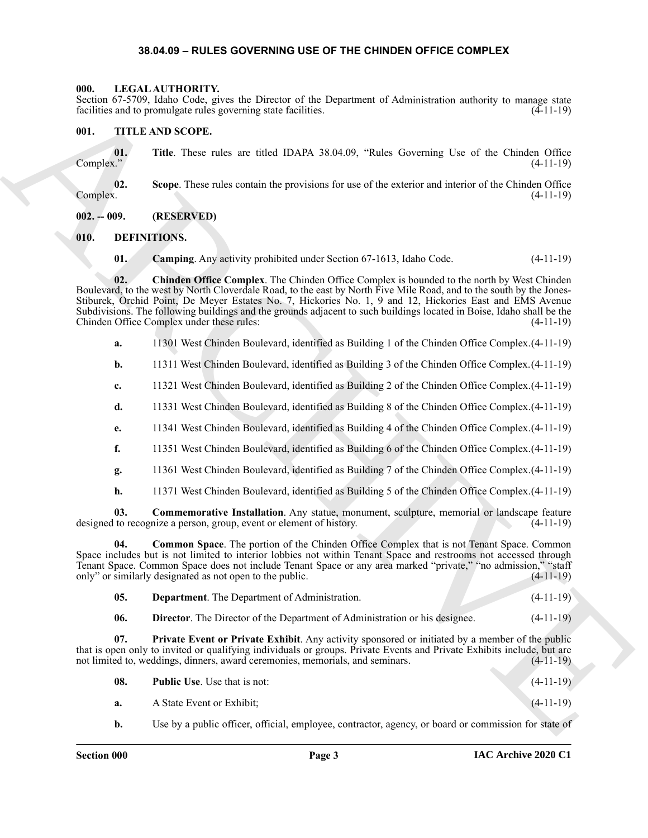#### <span id="page-2-14"></span>**38.04.09 – RULES GOVERNING USE OF THE CHINDEN OFFICE COMPLEX**

#### <span id="page-2-1"></span><span id="page-2-0"></span>**000. LEGAL AUTHORITY.**

Section 67-5709, Idaho Code, gives the Director of the Department of Administration authority to manage state facilities and to promulgate rules governing state facilities. (4-11-19)

#### <span id="page-2-15"></span><span id="page-2-2"></span>**001. TITLE AND SCOPE.**

**01.** Title. These rules are titled IDAPA 38.04.09, "Rules Governing Use of the Chinden Office (4-11-19) Complex." (4-11-19)

**02. Scope**. These rules contain the provisions for use of the exterior and interior of the Chinden Office Complex. (4-11-19)

#### <span id="page-2-3"></span>**002. -- 009. (RESERVED)**

#### <span id="page-2-4"></span>**010. DEFINITIONS.**

<span id="page-2-7"></span><span id="page-2-6"></span><span id="page-2-5"></span>**01. Camping**. Any activity prohibited under Section 67-1613, Idaho Code. (4-11-19)

Solution (Section Action Constraint Constraint Constraint Constraint Constraint Constraint Constraint Constraint Constraint Constraint Constraint Constraint Constraint Constraint Constraint Constraint Constraint Constrain **02. Chinden Office Complex**. The Chinden Office Complex is bounded to the north by West Chinden Boulevard, to the west by North Cloverdale Road, to the east by North Five Mile Road, and to the south by the Jones-Stiburek, Orchid Point, De Meyer Estates No. 7, Hickories No. 1, 9 and 12, Hickories East and EMS Avenue Subdivisions. The following buildings and the grounds adjacent to such buildings located in Boise, Idaho shall be the Chinden Office Complex under these rules: (4-11-19)

- **a.** 11301 West Chinden Boulevard, identified as Building 1 of the Chinden Office Complex.(4-11-19)
- **b.** 11311 West Chinden Boulevard, identified as Building 3 of the Chinden Office Complex. (4-11-19)
- **c.** 11321 West Chinden Boulevard, identified as Building 2 of the Chinden Office Complex.(4-11-19)
- **d.** 11331 West Chinden Boulevard, identified as Building 8 of the Chinden Office Complex.(4-11-19)
- **e.** 11341 West Chinden Boulevard, identified as Building 4 of the Chinden Office Complex.(4-11-19)
- **f.** 11351 West Chinden Boulevard, identified as Building 6 of the Chinden Office Complex.(4-11-19)
- **g.** 11361 West Chinden Boulevard, identified as Building 7 of the Chinden Office Complex.(4-11-19)
- <span id="page-2-9"></span><span id="page-2-8"></span>**h.** 11371 West Chinden Boulevard, identified as Building 5 of the Chinden Office Complex.(4-11-19)

**03. Commemorative Installation**. Any statue, monument, sculpture, memorial or landscape feature designed to recognize a person, group, event or element of history. (4-11-19)

**04. Common Space**. The portion of the Chinden Office Complex that is not Tenant Space. Common Space includes but is not limited to interior lobbies not within Tenant Space and restrooms not accessed through Tenant Space. Common Space does not include Tenant Space or any area marked "private," "no admission," "staff only" or similarly designated as not open to the public. (4-11-19) only" or similarly designated as not open to the public.

<span id="page-2-10"></span>

| 05.<br><b>Department.</b> The Department of Administration. |  | $(4-11-19)$ |
|-------------------------------------------------------------|--|-------------|
|-------------------------------------------------------------|--|-------------|

<span id="page-2-12"></span><span id="page-2-11"></span>**06. Director**. The Director of the Department of Administration or his designee. (4-11-19)

**07. Private Event or Private Exhibit**. Any activity sponsored or initiated by a member of the public that is open only to invited or qualifying individuals or groups. Private Events and Private Exhibits include, but are not limited to, weddings, dinners, award ceremonies, memorials, and seminars. (4-11-19)

<span id="page-2-13"></span>

| 08. | <b>Public Use.</b> Use that is not: | $(4-11-19)$ |
|-----|-------------------------------------|-------------|
|     |                                     |             |

- **a.** A State Event or Exhibit; (4-11-19)
- **b.** Use by a public officer, official, employee, contractor, agency, or board or commission for state of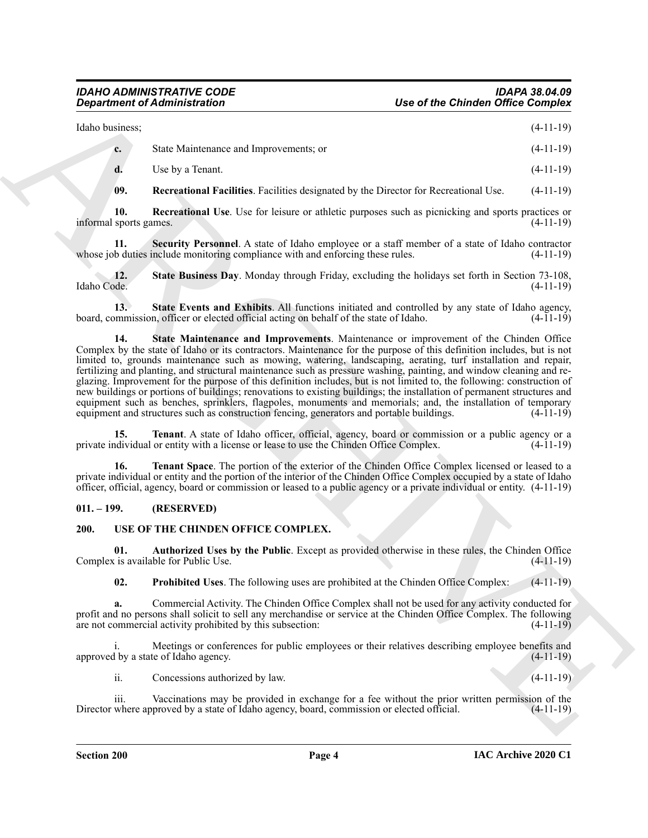|  | Idaho business; |                                        | $(4-11-19)$ |
|--|-----------------|----------------------------------------|-------------|
|  | $c_{\bullet}$   | State Maintenance and Improvements; or | $(4-11-19)$ |
|  |                 | Use by a Tenant.                       | $(4-11-19)$ |

<span id="page-3-4"></span><span id="page-3-3"></span><span id="page-3-2"></span>**09. Recreational Facilities**. Facilities designated by the Director for Recreational Use. (4-11-19)

**10. Recreational Use**. Use for leisure or athletic purposes such as picnicking and sports practices or informal sports games. (4-11-19)

**11.** Security Personnel. A state of Idaho employee or a staff member of a state of Idaho contractor b duties include monitoring compliance with and enforcing these rules. (4-11-19) whose job duties include monitoring compliance with and enforcing these rules.

<span id="page-3-5"></span>**12.** State Business Day. Monday through Friday, excluding the holidays set forth in Section 73-108, Idaho Code. (4-11-19) Idaho Code. (4-11-19)

<span id="page-3-7"></span><span id="page-3-6"></span>**13. State Events and Exhibits**. All functions initiated and controlled by any state of Idaho agency, board, commission, officer or elected official acting on behalf of the state of Idaho. (4-11-19)

**Consideration of Administration**<br>
Use of the Chindren Office Complete<br>
Use states between the three values and the processions, a<br>
(4-11-19)<br>
4 Use by a Tomas.<br>
10. Recreational Pacificity Factions consider partners on t **14. State Maintenance and Improvements**. Maintenance or improvement of the Chinden Office Complex by the state of Idaho or its contractors. Maintenance for the purpose of this definition includes, but is not limited to, grounds maintenance such as mowing, watering, landscaping, aerating, turf installation and repair, fertilizing and planting, and structural maintenance such as pressure washing, painting, and window cleaning and reglazing. Improvement for the purpose of this definition includes, but is not limited to, the following: construction of new buildings or portions of buildings; renovations to existing buildings; the installation of permanent structures and equipment such as benches, sprinklers, flagpoles, monuments and memorials; and, the installation of temporary equipment and structures such as construction fencing, generators and portable buildings. (4-11-19) equipment and structures such as construction fencing, generators and portable buildings.

<span id="page-3-8"></span>**15. Tenant**. A state of Idaho officer, official, agency, board or commission or a public agency or a public agency or a public agency or a public agency or a public agency or a public agency or a public agency of a detail private individual or entity with a license or lease to use the Chinden Office Complex.

<span id="page-3-9"></span>**16. Tenant Space**. The portion of the exterior of the Chinden Office Complex licensed or leased to a private individual or entity and the portion of the interior of the Chinden Office Complex occupied by a state of Idaho officer, official, agency, board or commission or leased to a public agency or a private individual or entity. (4-11-19)

#### <span id="page-3-0"></span>**011. – 199. (RESERVED)**

#### <span id="page-3-12"></span><span id="page-3-1"></span>**200. USE OF THE CHINDEN OFFICE COMPLEX.**

**01. Authorized Uses by the Public**. Except as provided otherwise in these rules, the Chinden Office Complex is available for Public Use. (4-11-19)

<span id="page-3-11"></span><span id="page-3-10"></span>**02. Prohibited Uses**. The following uses are prohibited at the Chinden Office Complex: (4-11-19)

**a.** Commercial Activity. The Chinden Office Complex shall not be used for any activity conducted for profit and no persons shall solicit to sell any merchandise or service at the Chinden Office Complex. The following are not commercial activity prohibited by this subsection: (4-11-19)

i. Meetings or conferences for public employees or their relatives describing employee benefits and approved by a state of Idaho agency. (4-11-19)

ii. Concessions authorized by law. (4-11-19)

iii. Vaccinations may be provided in exchange for a fee without the prior written permission of the where approved by a state of Idaho agency, board, commission or elected official. (4-11-19) Director where approved by a state of Idaho agency, board, commission or elected official.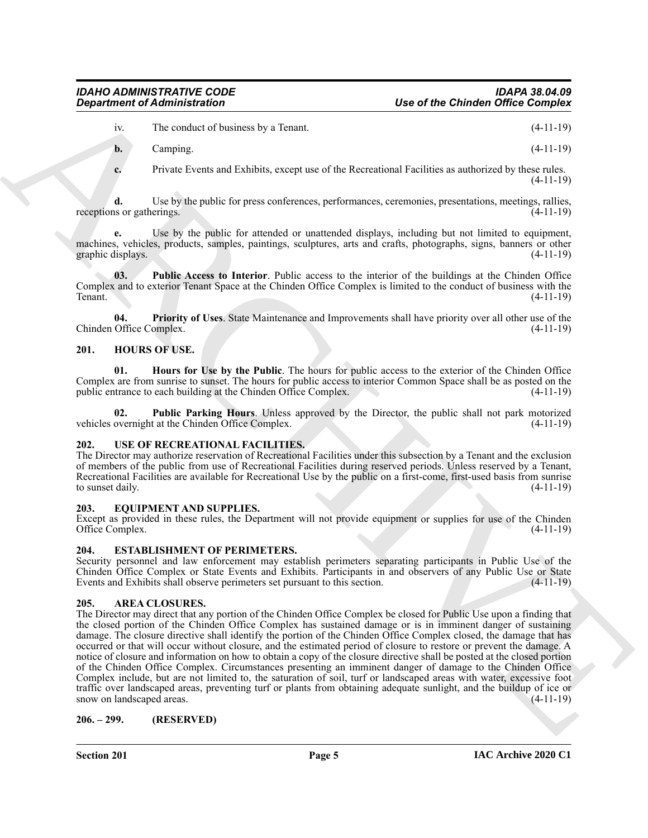iv. The conduct of business by a Tenant. (4-11-19)

**b.** Camping. (4-11-19)

**c.** Private Events and Exhibits, except use of the Recreational Facilities as authorized by these rules. (4-11-19)

**d.** Use by the public for press conferences, performances, ceremonies, presentations, meetings, rallies, receptions or gatherings.  $(4-11-19)$ 

**e.** Use by the public for attended or unattended displays, including but not limited to equipment, machines, vehicles, products, samples, paintings, sculptures, arts and crafts, photographs, signs, banners or other graphic displays. (4-11-19) graphic displays.

<span id="page-4-14"></span>**03. Public Access to Interior**. Public access to the interior of the buildings at the Chinden Office Complex and to exterior Tenant Space at the Chinden Office Complex is limited to the conduct of business with the Tenant. (4-11-19)

<span id="page-4-12"></span>**04. Priority of Uses**. State Maintenance and Improvements shall have priority over all other use of the Chinden Office Complex. (4-11-19)

#### <span id="page-4-9"></span><span id="page-4-0"></span>**201. HOURS OF USE.**

<span id="page-4-10"></span>**01. Hours for Use by the Public**. The hours for public access to the exterior of the Chinden Office Complex are from sunrise to sunset. The hours for public access to interior Common Space shall be as posted on the public entrance to each building at the Chinden Office Complex. (4-11-19) public entrance to each building at the Chinden Office Complex.

<span id="page-4-11"></span>**02. Public Parking Hours**. Unless approved by the Director, the public shall not park motorized vehicles overnight at the Chinden Office Complex. (4-11-19)

### <span id="page-4-13"></span><span id="page-4-1"></span>**202. USE OF RECREATIONAL FACILITIES.**

The Director may authorize reservation of Recreational Facilities under this subsection by a Tenant and the exclusion of members of the public from use of Recreational Facilities during reserved periods. Unless reserved by a Tenant, Recreational Facilities are available for Recreational Use by the public on a first-come, first-used basis from sunrise to sunset daily. (4-11-19) to sunset daily.

#### <span id="page-4-7"></span><span id="page-4-2"></span>**203. EQUIPMENT AND SUPPLIES.**

Except as provided in these rules, the Department will not provide equipment or supplies for use of the Chinden Office Complex. (4-11-19)

### <span id="page-4-8"></span><span id="page-4-3"></span>**204. ESTABLISHMENT OF PERIMETERS.**

Security personnel and law enforcement may establish perimeters separating participants in Public Use of the Chinden Office Complex or State Events and Exhibits. Participants in and observers of any Public Use or State Events and Exhibits shall observe perimeters set pursuant to this section. (4-11-19)

#### <span id="page-4-6"></span><span id="page-4-4"></span>**205. AREA CLOSURES.**

**Constrained of Administration**<br>
The of the Constraint Columbian (see Fig. 2). The constraint of the Constraint Constraint Constraint Constraint Constraint Constraint Constraint Constraint Constraint Constraint Constraint The Director may direct that any portion of the Chinden Office Complex be closed for Public Use upon a finding that the closed portion of the Chinden Office Complex has sustained damage or is in imminent danger of sustaining damage. The closure directive shall identify the portion of the Chinden Office Complex closed, the damage that has occurred or that will occur without closure, and the estimated period of closure to restore or prevent the damage. A notice of closure and information on how to obtain a copy of the closure directive shall be posted at the closed portion of the Chinden Office Complex. Circumstances presenting an imminent danger of damage to the Chinden Office Complex include, but are not limited to, the saturation of soil, turf or landscaped areas with water, excessive foot traffic over landscaped areas, preventing turf or plants from obtaining adequate sunlight, and the buildup of ice or snow on landscaped areas. (4-11-19) snow on landscaped areas.

#### <span id="page-4-5"></span>**206. – 299. (RESERVED)**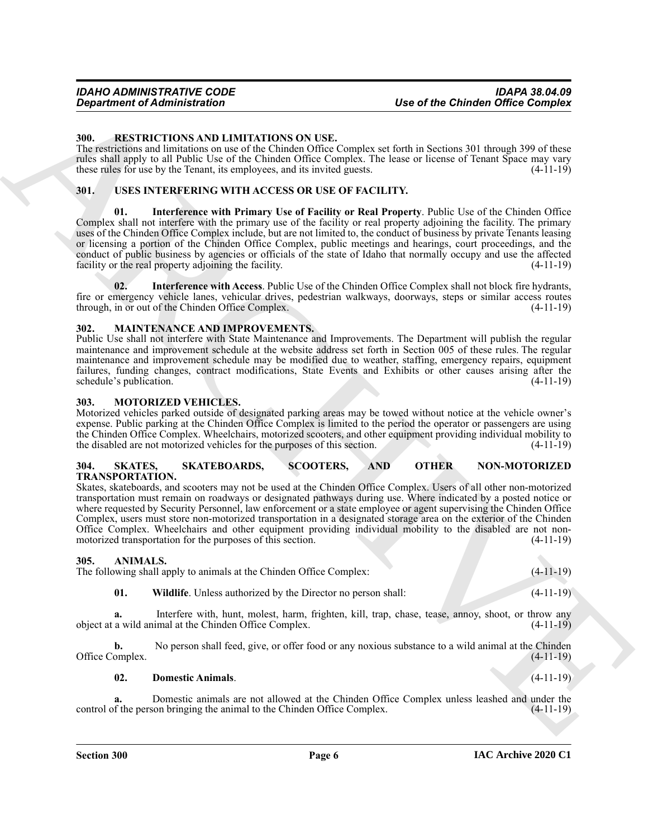#### <span id="page-5-11"></span><span id="page-5-0"></span>**300. RESTRICTIONS AND LIMITATIONS ON USE.**

The restrictions and limitations on use of the Chinden Office Complex set forth in Sections 301 through 399 of these rules shall apply to all Public Use of the Chinden Office Complex. The lease or license of Tenant Space may vary these rules for use by the Tenant, its employees, and its invited guests. (4-11-19)

#### <span id="page-5-15"></span><span id="page-5-13"></span><span id="page-5-1"></span>**301. USES INTERFERING WITH ACCESS OR USE OF FACILITY.**

*Department of Administration*<br>
Multiple of the Chindren Office Complex<br>
Numerical Constraint (Section 2008)<br>
The results of the Chindren Constraint (Section 2008)<br>
The results of the Chindren Constraint (Section 2008)<br> **01. Interference with Primary Use of Facility or Real Property**. Public Use of the Chinden Office Complex shall not interfere with the primary use of the facility or real property adjoining the facility. The primary uses of the Chinden Office Complex include, but are not limited to, the conduct of business by private Tenants leasing or licensing a portion of the Chinden Office Complex, public meetings and hearings, court proceedings, and the conduct of public business by agencies or officials of the state of Idaho that normally occupy and use the affected facility or the real property adjoining the facility. (4-11-19)

<span id="page-5-14"></span>**02. Interference with Access**. Public Use of the Chinden Office Complex shall not block fire hydrants, fire or emergency vehicle lanes, vehicular drives, pedestrian walkways, doorways, steps or similar access routes through, in or out of the Chinden Office Complex. (4-11-19)

#### <span id="page-5-9"></span><span id="page-5-2"></span>**302. MAINTENANCE AND IMPROVEMENTS.**

Public Use shall not interfere with State Maintenance and Improvements. The Department will publish the regular maintenance and improvement schedule at the website address set forth in Section 005 of these rules. The regular maintenance and improvement schedule may be modified due to weather, staffing, emergency repairs, equipment failures, funding changes, contract modifications, State Events and Exhibits or other causes arising after the  $s$ chedule's publication. (4-11-19)

#### <span id="page-5-10"></span><span id="page-5-3"></span>**303. MOTORIZED VEHICLES.**

Motorized vehicles parked outside of designated parking areas may be towed without notice at the vehicle owner's expense. Public parking at the Chinden Office Complex is limited to the period the operator or passengers are using the Chinden Office Complex. Wheelchairs, motorized scooters, and other equipment providing individual mobility to the disabled are not motorized vehicles for the purposes of this section. (4-11-19) the disabled are not motorized vehicles for the purposes of this section.

#### <span id="page-5-12"></span><span id="page-5-4"></span>**304. SKATES, SKATEBOARDS, SCOOTERS, AND OTHER NON-MOTORIZED TRANSPORTATION.**

Skates, skateboards, and scooters may not be used at the Chinden Office Complex. Users of all other non-motorized transportation must remain on roadways or designated pathways during use. Where indicated by a posted notice or where requested by Security Personnel, law enforcement or a state employee or agent supervising the Chinden Office Complex, users must store non-motorized transportation in a designated storage area on the exterior of the Chinden Office Complex. Wheelchairs and other equipment providing individual mobility to the disabled are not non-<br>motorized transportation for the purposes of this section. (4-11-19) motorized transportation for the purposes of this section.

#### <span id="page-5-6"></span><span id="page-5-5"></span>**305. ANIMALS.**

The following shall apply to animals at the Chinden Office Complex: (4-11-19)

<span id="page-5-8"></span>**01. Wildlife**. Unless authorized by the Director no person shall: (4-11-19)

**a.** Interfere with, hunt, molest, harm, frighten, kill, trap, chase, tease, annoy, shoot, or throw any object at a wild animal at the Chinden Office Complex. (4-11-19)

**b.** No person shall feed, give, or offer food or any noxious substance to a wild animal at the Chinden Office Complex. (4-11-19)

<span id="page-5-7"></span>**02. Domestic Animals**. (4-11-19)

**a.** Domestic animals are not allowed at the Chinden Office Complex unless leashed and under the f the person bringing the animal to the Chinden Office Complex. (4-11-19) control of the person bringing the animal to the Chinden Office Complex.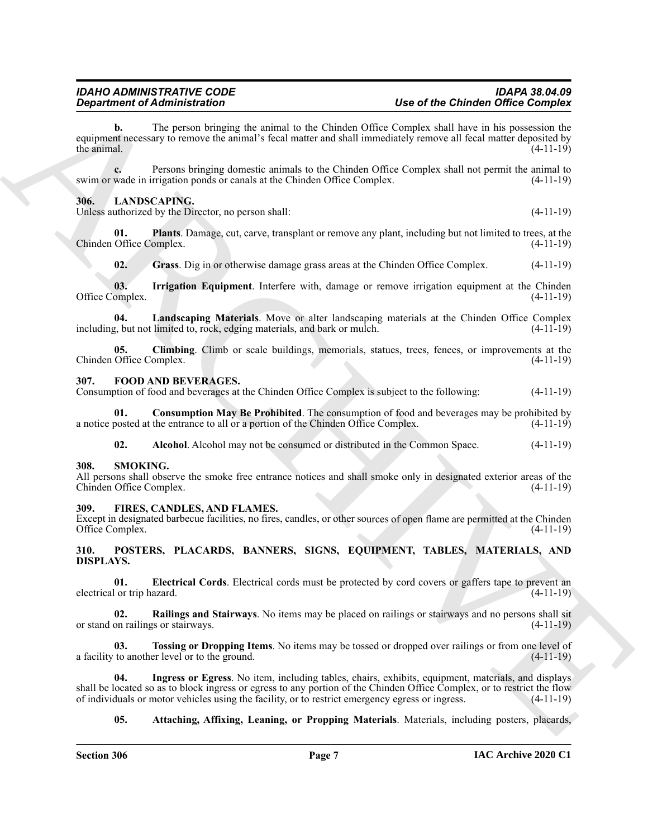*Department of Administration*<br> **Constraints The Comparison Constraints of the Comparison Constraints of the Comparison Comparison Comparison Comparison Comparison Comparison Comparison Comparison Comparison Comparison b.** The person bringing the animal to the Chinden Office Complex shall have in his possession the equipment necessary to remove the animal's fecal matter and shall immediately remove all fecal matter deposited by the animal.  $(4-11-19)$ 

**c.** Persons bringing domestic animals to the Chinden Office Complex shall not permit the animal to swim or wade in irrigation ponds or canals at the Chinden Office Complex. (4-11-19)

#### <span id="page-6-9"></span><span id="page-6-0"></span>**306. LANDSCAPING.**

Unless authorized by the Director, no person shall: (4-11-19)

**01. Plants**. Damage, cut, carve, transplant or remove any plant, including but not limited to trees, at the Chinden Office Complex. (4-11-19)

<span id="page-6-14"></span><span id="page-6-13"></span><span id="page-6-12"></span><span id="page-6-11"></span>**02. Grass**. Dig in or otherwise damage grass areas at the Chinden Office Complex. (4-11-19)

**03.** Irrigation Equipment. Interfere with, damage or remove irrigation equipment at the Chinden omplex. (4-11-19) Office Complex.

**04. Landscaping Materials**. Move or alter landscaping materials at the Chinden Office Complex including, but not limited to, rock, edging materials, and bark or mulch.

<span id="page-6-10"></span>**05.** Climbing. Climb or scale buildings, memorials, statues, trees, fences, or improvements at the Office Complex. (4-11-19) Chinden Office Complex.

#### <span id="page-6-6"></span><span id="page-6-1"></span>**307. FOOD AND BEVERAGES.**

Consumption of food and beverages at the Chinden Office Complex is subject to the following: (4-11-19)

**01. Consumption May Be Prohibited**. The consumption of food and beverages may be prohibited by posted at the entrance to all or a portion of the Chinden Office Complex. (4-11-19) a notice posted at the entrance to all or a portion of the Chinden Office Complex.

<span id="page-6-21"></span><span id="page-6-8"></span><span id="page-6-7"></span>**02. Alcohol**. Alcohol may not be consumed or distributed in the Common Space. (4-11-19)

#### <span id="page-6-2"></span>**308. SMOKING.**

All persons shall observe the smoke free entrance notices and shall smoke only in designated exterior areas of the Chinden Office Complex. (4-11-19) Chinden Office Complex.

#### <span id="page-6-5"></span><span id="page-6-3"></span>**309. FIRES, CANDLES, AND FLAMES.**

Except in designated barbecue facilities, no fires, candles, or other sources of open flame are permitted at the Chinden Office Complex. (4-11-19)

#### <span id="page-6-15"></span><span id="page-6-4"></span>**310. POSTERS, PLACARDS, BANNERS, SIGNS, EQUIPMENT, TABLES, MATERIALS, AND DISPLAYS.**

<span id="page-6-17"></span>**01. Electrical Cords**. Electrical cords must be protected by cord covers or gaffers tape to prevent an electrical or trip hazard. (4-11-19)

<span id="page-6-19"></span>**02. Railings and Stairways**. No items may be placed on railings or stairways and no persons shall sit or stand on railings or stairways. (4-11-19)

<span id="page-6-20"></span>**03. Tossing or Dropping Items**. No items may be tossed or dropped over railings or from one level of a facility to another level or to the ground. (4-11-19)

**04. Ingress or Egress**. No item, including tables, chairs, exhibits, equipment, materials, and displays shall be located so as to block ingress or egress to any portion of the Chinden Office Complex, or to restrict the flow<br>of individuals or motor vehicles using the facility, or to restrict emergency egress or ingress. (4-11 of individuals or motor vehicles using the facility, or to restrict emergency egress or ingress.

#### <span id="page-6-18"></span><span id="page-6-16"></span>**05.** Attaching, Affixing, Leaning, or Propping Materials. Materials, including posters, placards,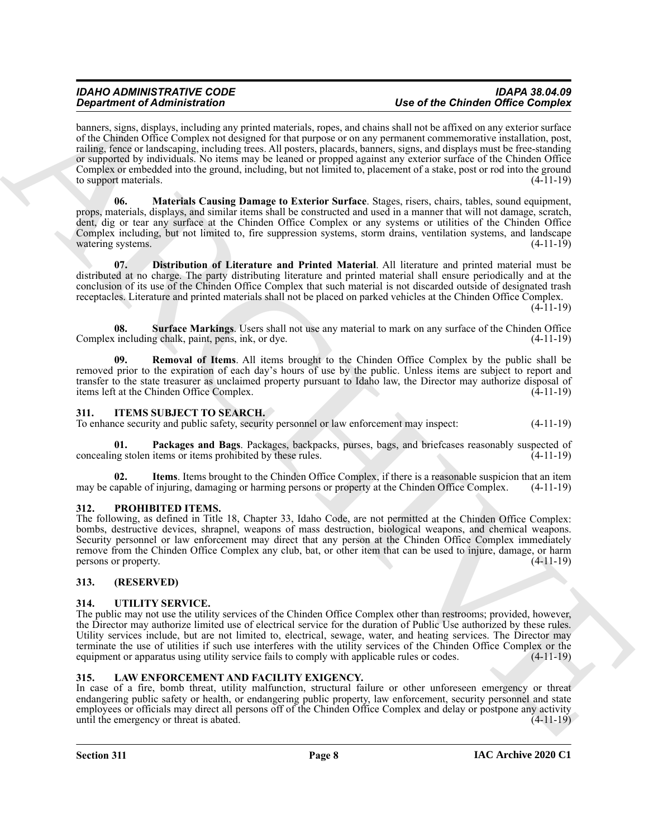**Operation of Administration**<br>
by the order of the Chinese Complete and the control of the control of the Chinese Complete and the Chinese Complete and the Chinese Complete and the Chinese Complete and the Chinese Complet banners, signs, displays, including any printed materials, ropes, and chains shall not be affixed on any exterior surface of the Chinden Office Complex not designed for that purpose or on any permanent commemorative installation, post, railing, fence or landscaping, including trees. All posters, placards, banners, signs, and displays must be free-standing or supported by individuals. No items may be leaned or propped against any exterior surface of the Chinden Office Complex or embedded into the ground, including, but not limited to, placement of a stake, post or rod into the ground to support materials.  $(4-11-19)$ 

<span id="page-7-10"></span>**06. Materials Causing Damage to Exterior Surface**. Stages, risers, chairs, tables, sound equipment, props, materials, displays, and similar items shall be constructed and used in a manner that will not damage, scratch, dent, dig or tear any surface at the Chinden Office Complex or any systems or utilities of the Chinden Office Complex including, but not limited to, fire suppression systems, storm drains, ventilation systems, and landscape watering systems. (4-11-19)

<span id="page-7-9"></span>**07. Distribution of Literature and Printed Material**. All literature and printed material must be distributed at no charge. The party distributing literature and printed material shall ensure periodically and at the conclusion of its use of the Chinden Office Complex that such material is not discarded outside of designated trash receptacles. Literature and printed materials shall not be placed on parked vehicles at the Chinden Office Complex.

 $(4-11-19)$ 

<span id="page-7-12"></span>**08. Surface Markings**. Users shall not use any material to mark on any surface of the Chinden Office Complex including chalk, paint, pens, ink, or dye. (4-11-19)

<span id="page-7-11"></span>**09. Removal of Items**. All items brought to the Chinden Office Complex by the public shall be removed prior to the expiration of each day's hours of use by the public. Unless items are subject to report and transfer to the state treasurer as unclaimed property pursuant to Idaho law, the Director may authorize disposal of items left at the Chinden Office Complex. (4-11-19) items left at the Chinden Office Complex.

### <span id="page-7-5"></span><span id="page-7-0"></span>**311. ITEMS SUBJECT TO SEARCH.**

To enhance security and public safety, security personnel or law enforcement may inspect: (4-11-19)

<span id="page-7-7"></span>**01. Packages and Bags**. Packages, backpacks, purses, bags, and briefcases reasonably suspected of ng stolen items or items prohibited by these rules. (4-11-19) concealing stolen items or items prohibited by these rules.

<span id="page-7-6"></span>**02.** Items. Items brought to the Chinden Office Complex, if there is a reasonable suspicion that an item apable of injuring, damaging or harming persons or property at the Chinden Office Complex. (4-11-19) may be capable of injuring, damaging or harming persons or property at the Chinden Office Complex.

### <span id="page-7-13"></span><span id="page-7-1"></span>**312. PROHIBITED ITEMS.**

The following, as defined in Title 18, Chapter 33, Idaho Code, are not permitted at the Chinden Office Complex: bombs, destructive devices, shrapnel, weapons of mass destruction, biological weapons, and chemical weapons. Security personnel or law enforcement may direct that any person at the Chinden Office Complex immediately remove from the Chinden Office Complex any club, bat, or other item that can be used to injure, damage, or harm persons or property.  $(4-11-19)$ 

### <span id="page-7-2"></span>**313. (RESERVED)**

#### <span id="page-7-14"></span><span id="page-7-3"></span>**314. UTILITY SERVICE.**

The public may not use the utility services of the Chinden Office Complex other than restrooms; provided, however, the Director may authorize limited use of electrical service for the duration of Public Use authorized by these rules. Utility services include, but are not limited to, electrical, sewage, water, and heating services. The Director may terminate the use of utilities if such use interferes with the utility services of the Chinden Office Complex or the equipment or apparatus using utility service fails to comply with applicable rules or codes.  $(4-11-19)$ 

### <span id="page-7-8"></span><span id="page-7-4"></span>**315. LAW ENFORCEMENT AND FACILITY EXIGENCY.**

In case of a fire, bomb threat, utility malfunction, structural failure or other unforeseen emergency or threat endangering public safety or health, or endangering public property, law enforcement, security personnel and state employees or officials may direct all persons off of the Chinden Office Complex and delay or postpone any activity until the emergency or threat is abated. (4-11-19)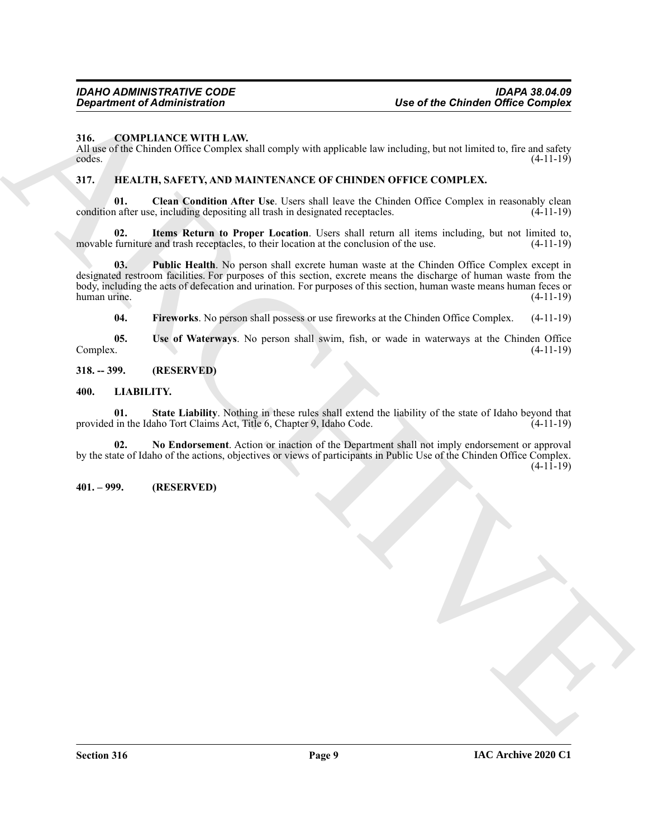#### <span id="page-8-5"></span><span id="page-8-0"></span>**316. COMPLIANCE WITH LAW.**

All use of the Chinden Office Complex shall comply with applicable law including, but not limited to, fire and safety codes. (4-11-19)  $\csc \csc \left(4-11-19\right)$ 

# <span id="page-8-6"></span><span id="page-8-1"></span>**317. HEALTH, SAFETY, AND MAINTENANCE OF CHINDEN OFFICE COMPLEX.**

<span id="page-8-7"></span>**01.** Clean Condition After Use. Users shall leave the Chinden Office Complex in reasonably clean condition after use, including depositing all trash in designated receptacles. (4-11-19)

<span id="page-8-9"></span>**02.** Items Return to Proper Location. Users shall return all items including, but not limited to, furniture and trash receptacles, to their location at the conclusion of the use.  $(4-11-19)$ movable furniture and trash receptacles, to their location at the conclusion of the use.

**Operation of Administration**<br>
216 COMPLEMENTILE WITH LAW.<br>
ARCHIVENTILE WITH LAW complete will convey with applicable low including, but not limited b, for each order<br>
ARCHIVENTI SAFFIFY, AND MATERIX NAVER VAN CHEVIDEOFF **03. Public Health**. No person shall excrete human waste at the Chinden Office Complex except in designated restroom facilities. For purposes of this section, excrete means the discharge of human waste from the body, including the acts of defecation and urination. For purposes of this section, human waste means human feces or human urine. (4-11-19) human urine. (4-11-19)

<span id="page-8-11"></span><span id="page-8-10"></span><span id="page-8-8"></span>**04. Fireworks**. No person shall possess or use fireworks at the Chinden Office Complex. (4-11-19)

**05.** Use of Waterways. No person shall swim, fish, or wade in waterways at the Chinden Office Complex. (4-11-19) Complex. (4-11-19)

#### <span id="page-8-2"></span>**318. -- 399. (RESERVED)**

#### <span id="page-8-12"></span><span id="page-8-3"></span>**400. LIABILITY.**

<span id="page-8-14"></span>**01.** State Liability. Nothing in these rules shall extend the liability of the state of Idaho beyond that in the Idaho Tort Claims Act, Title 6, Chapter 9, Idaho Code. (4-11-19) provided in the Idaho Tort Claims Act, Title 6, Chapter 9, Idaho Code.

<span id="page-8-13"></span>**02. No Endorsement**. Action or inaction of the Department shall not imply endorsement or approval by the state of Idaho of the actions, objectives or views of participants in Public Use of the Chinden Office Complex. (4-11-19)

#### <span id="page-8-4"></span>**401. – 999. (RESERVED)**